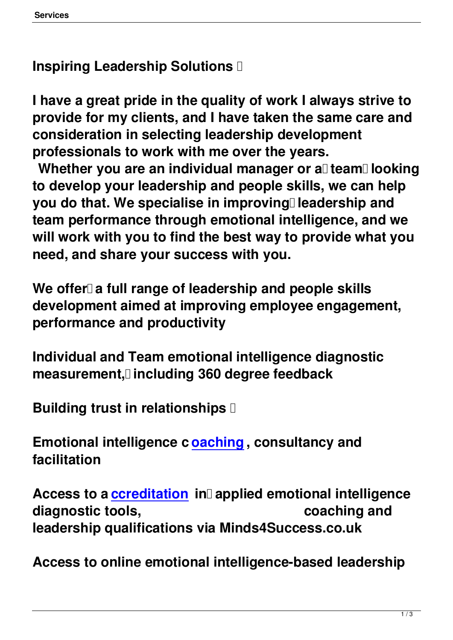**Inspiring Leadership Solutions** 

**I have a great pride in the quality of work I always strive to provide for my clients, and I have taken the same care and consideration in selecting leadership development professionals to work with me over the years.**

Whether you are an individual manager or all team<sup>l</sup> looking **to develop your leadership and people skills, we can help** you do that. We specialise in improving<sup>[]</sup> leadership and **team performance through emotional intelligence, and we will work with you to find the best way to provide what you need, and share your success with you.**

We offer a full range of leadership and people skills **development aimed at improving employee engagement, performance and productivity**

**Individual and Team emotional intelligence diagnostic measurement, including 360 degree feedback**

**Building trust in relationships** 

**Emotional intelligence c oaching , consultancy and facilitation**

Access to a *ccreditation* in applied emotional intelligence diagnostic tools, **coaching and leadership [qualifications](index.php?option=com_content&view=category&layout=blog&id=13&Itemid=25) via Minds4Success.co.uk**

**Access to online emotional intelligence-based leadership**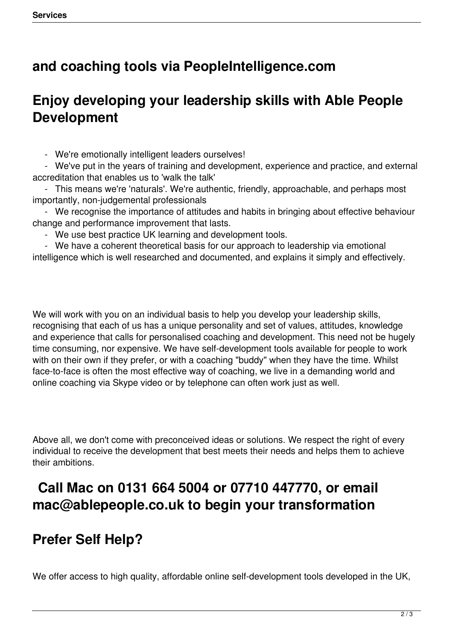## **and coaching tools via PeopleIntelligence.com**

## **Enjoy developing your leadership skills with Able People Development**

- We're emotionally intelligent leaders ourselves!

 - We've put in the years of training and development, experience and practice, and external accreditation that enables us to 'walk the talk'

 - This means we're 'naturals'. We're authentic, friendly, approachable, and perhaps most importantly, non-judgemental professionals

 - We recognise the importance of attitudes and habits in bringing about effective behaviour change and performance improvement that lasts.

- We use best practice UK learning and development tools.

 - We have a coherent theoretical basis for our approach to leadership via emotional intelligence which is well researched and documented, and explains it simply and effectively.

We will work with you on an individual basis to help you develop your leadership skills, recognising that each of us has a unique personality and set of values, attitudes, knowledge and experience that calls for personalised coaching and development. This need not be hugely time consuming, nor expensive. We have self-development tools available for people to work with on their own if they prefer, or with a coaching "buddy" when they have the time. Whilst face-to-face is often the most effective way of coaching, we live in a demanding world and online coaching via Skype video or by telephone can often work just as well.

Above all, we don't come with preconceived ideas or solutions. We respect the right of every individual to receive the development that best meets their needs and helps them to achieve their ambitions.

## **Call Mac on 0131 664 5004 or 07710 447770, or email mac@ablepeople.co.uk to begin your transformation**

## **Prefer Self Help?**

We offer access to high quality, affordable online self-development tools developed in the UK,